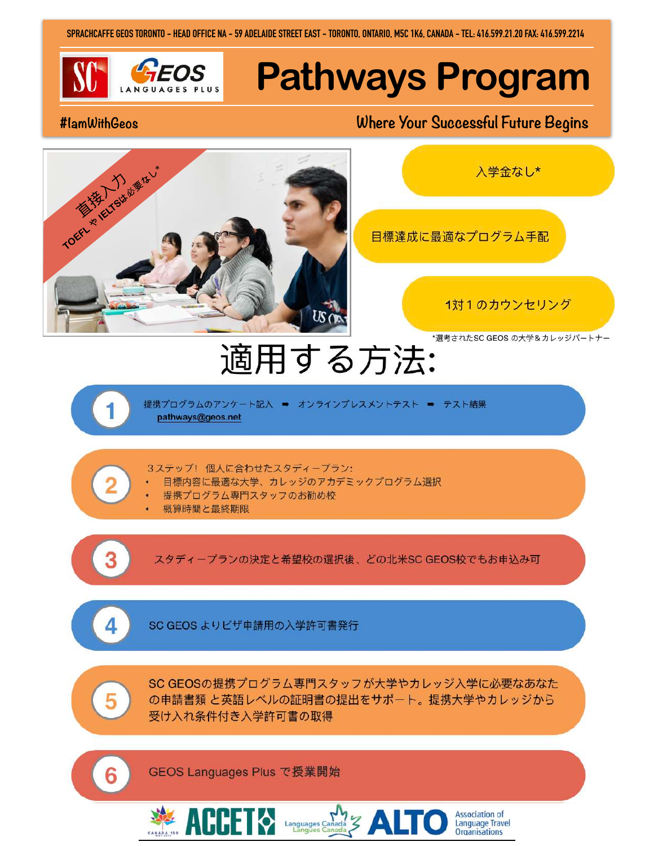SPRACHCAFFE GEOS TORONTO - HEAD OFFICE NA - 59 ADELAIDE STREET EAST - TORONTO, ONTARIO, M5C 1K6, CANADA - TEL: 416.599.21.20 FAX: 416.599.2214



# **Pathways Program**

#### #lamWithGeos

### Where Your Successful Future Begins

目標達成に最適なプログラム手配



1対1のカウンセリング

Association of<br>Language Travel<br>Organisations

入学金なし\*

\*選考されたSC GEOS の大学&カレッジパートナー

## 適用する方法:

提携プログラムのアンケート記入 = オンラインプレスメントテスト ⇒ テスト結果 pathways@geos.net

3ステップ!個人に合わせたスタディープラン:

- 目標内容に最適な大学、カレッジのアカデミックプログラム選択
- 提携プログラム専門スタッフのお勧め校
- 概算時間と最終期限

スタディープランの決定と希望校の選択後、どの北米SC GEOS校でもお申込み可

Δ.

 $\overline{2}$ 

SC GEOS よりビザ申請用の入学許可書発行

5

6

SC GEOSの提携プログラム専門スタッフが大学やカレッジ入学に必要なあなた の申請書類と英語レベルの証明書の提出をサポート。提携大学やカレッジから 受け入れ条件付き入学許可書の取得

GEOS Languages Plus で授業開始

 $\mathcal{L}$  AUUEI  $\lozenge$  Languages Canada  $\mathcal{Z}$   $\triangle$  LT